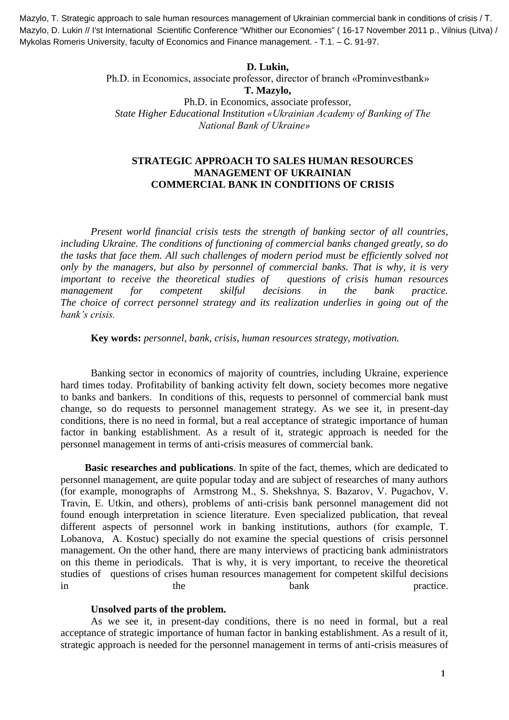Mazylo, T. Strategic approach to sale human resources management of Ukrainian commercial bank in conditions of crisis / T. Mazylo, D. Lukin // I'st International Scientific Conference "Whither our Economies" (16-17 November 2011 p., Vilnius (Litva) / Mykolas Romeris University, faculty of Economics and Finance management. - Т.1. – С. 91-97.

#### **D. Lukin,**

Ph.D. in Economics, associate professor, director of branch «Prominvestbank» **T. Mazylo,** Ph.D. in Economics, associate professor, *State Higher Educational Institution «Ukrainian Academy of Banking of The* 

*National Bank of Ukraine»*

### **STRATEGIC APPROACH TO SALES HUMAN RESOURCES MANAGEMENT OF UKRAINIAN COMMERCIAL BANK IN CONDITIONS OF CRISIS**

*Present world financial crisis tests the strength of banking sector of all countries, including Ukraine. The conditions of functioning of commercial banks changed greatly, so do the tasks that face them. All such challenges of modern period must be efficiently solved not only by the managers, but also by personnel of commercial banks. That is why, it is very important to receive the theoretical studies of questions of crisis human resources management for competent skilful decisions in the bank practice. The choice of correct personnel strategy and its realization underlies in going out of the bank's crisis.* 

**Key words:** *personnel, bank, crisis, human resources strategy, motivation.*

Banking sector in economics of majority of countries, including Ukraine, experience hard times today. Profitability of banking activity felt down, society becomes more negative to banks and bankers. In conditions of this, requests to personnel of commercial bank must change, so do requests to personnel management strategy. As we see it, in present-day conditions, there is no need in formal, but a real acceptance of strategic importance of human factor in banking establishment. As a result of it, strategic approach is needed for the personnel management in terms of anti-crisis measures of commercial bank*.*

**Basic researches and publications**. In spite of the fact, themes, which are dedicated to personnel management, are quite popular today and are subject of researches of many authors (for example, monographs of Аrmstrong М., S. Shekshnya, S. Bаzаrov, V. Pugachov, V. Travin, Е. Utkin, and others), problems of anti-crisis bank personnel management did not found enough interpretation in science literature. Even specialized publication, that reveal different aspects of personnel work in banking institutions, authors (for example, Т. Lobanova, A. Kostuc) specially do not examine the special questions of crisis personnel management. On the other hand, there are many interviews of practicing bank administrators on this theme in periodicals. That is why, it is very important, to receive the theoretical studies of questions of crises human resources management for competent skilful decisions in the the bank practice.

#### **Unsolved parts of the problem.**

As we see it, in present-day conditions, there is no need in formal, but a real acceptance of strategic importance of human factor in banking establishment. As a result of it, strategic approach is needed for the personnel management in terms of anti-crisis measures of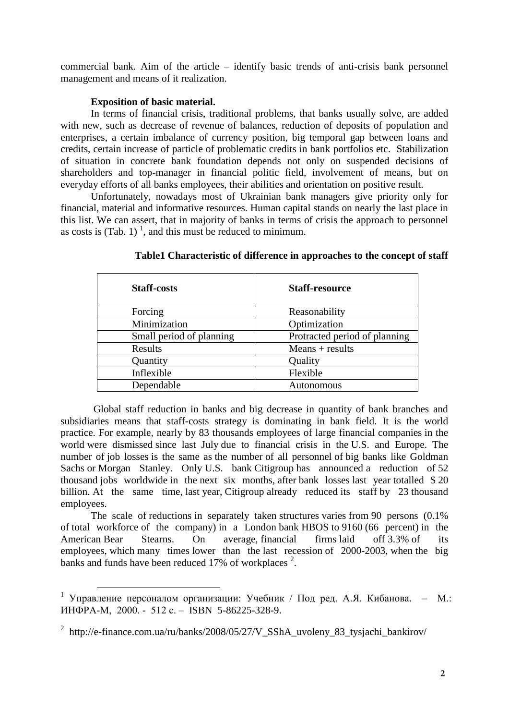commercial bank*.* Aim of the article – identify basic trends of anti-crisis bank personnel management and means of it realization.

#### **Exposition of basic material.**

 $\overline{a}$ 

In terms of financial crisis, traditional problems, that banks usually solve, are added with new, such as decrease of revenue of balances, reduction of deposits of population and enterprises, a certain imbalance of currency position, big temporal gap between loans and credits, certain increase of particle of problematic credits in bank portfolios etc. Stabilization of situation in concrete bank foundation depends not only on suspended decisions of shareholders and top-manager in financial politic field, involvement of means, but on everyday efforts of all banks employees, their abilities and orientation on positive result.

Unfortunately, nowadays most of Ukrainian bank managers give priority only for financial, material and informative resources. Human capital stands on nearly the last place in this list. We can assert, that in majority of banks in terms of crisis the approach to personnel as costs is (Tab. 1)<sup>1</sup>, and this must be reduced to minimum.

| <b>Staff-costs</b>       | <b>Staff-resource</b>         |
|--------------------------|-------------------------------|
| Forcing                  | Reasonability                 |
| Minimization             | Optimization                  |
| Small period of planning | Protracted period of planning |
| Results                  | $Means + results$             |
| Quantity                 | Quality                       |
| Inflexible               | Flexible                      |
| Dependable               | Autonomous                    |

**Table1 Characteristic of difference in approaches to the concept of staff**

Global staff reduction in banks and big decrease in quantity of bank branches and subsidiaries means that staff-costs strategy is dominating in bank field. It is the world practice. For example, nearly by 83 thousands employees of large financial companies in the world were dismissed since last July due to financial crisis in the U.S. and Europe. The number of job losses is the same as the number of all personnel of big banks like Goldman Sachs or Morgan Stanley. Only U.S. bank Citigroup has announced a reduction of 52 thousand jobs worldwide in the next six months, after bank losses last year totalled \$ 20 billion. At the same time, last year, Citigroup already reduced its staff by 23 thousand employees.

The scale of reductions in separately taken structures varies from 90 persons (0.1% of total workforce of the company) in a London bank HBOS to 9160 (66 percent) in the American Bear Stearns. On average, financial firms laid off 3.3% of its employees, which many times lower than the last recession of 2000-2003, when the big banks and funds have been reduced 17% of workplaces<sup>2</sup>.

<sup>&</sup>lt;sup>1</sup> Управление персоналом организации: Учебник / Под ред. А.Я. Кибанова. – М.: ИНФРА-М, 2000. - 512 с. – ISBN 5-86225-328-9.

<sup>&</sup>lt;sup>2</sup> http://e-finance.com.ua/ru/banks/2008/05/27/V\_SShA\_uvoleny\_83\_tysjachi\_bankirov/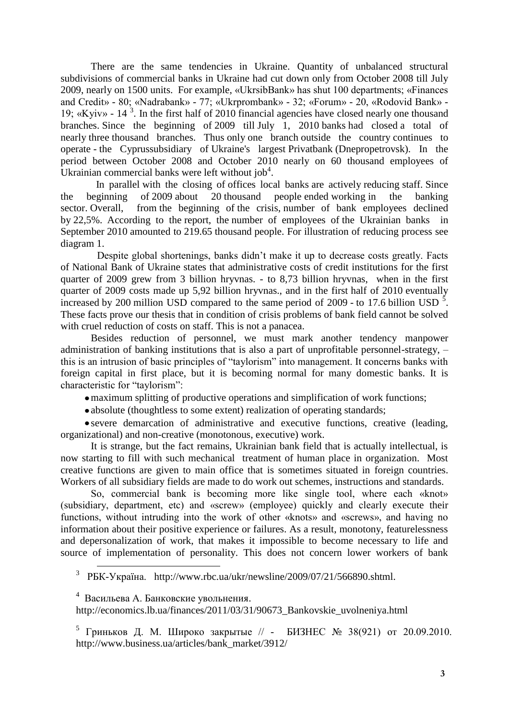There are the same tendencies in Ukraine. Quantity of unbalanced structural subdivisions of commercial banks in Ukraine had cut down only from October 2008 till July 2009, nearly on 1500 units. For example, «UkrsibBank» has shut 100 departments; «Finances and Credit» - 80; «Nadrabank» - 77; «Ukrprombank» - 32; «Forum» - 20, «Rodovid Bank» - 19; «Kyiv» -  $14^{3}$ . In the first half of 2010 financial agencies have closed nearly one thousand branches. Since the beginning of 2009 till July 1, 2010 banks had closed a total of nearly three thousand branches. Thus only one branch outside the country continues to operate - the Cyprussubsidiary of Ukraine's largest Privatbank (Dnepropetrovsk). In the period between October 2008 and October 2010 nearly on 60 thousand employees of Ukrainian commercial banks were left without job<sup>4</sup>.

 In parallel with the closing of offices local banks are actively reducing staff. Since the beginning of 2009 about 20 thousand people ended working in the banking sector. Overall, from the beginning of the crisis, number of bank employees declined by 22,5%. According to the report, the number of employees of the Ukrainian banks in September 2010 amounted to 219.65 thousand people. For illustration of reducing process see diagram 1.

Despite global shortenings, banks didn't make it up to decrease costs greatly. Facts of National Bank of Ukraine states that administrative costs of credit institutions for the first quarter of 2009 grew from 3 billion hryvnas. - to 8,73 billion hryvnas, when in the first quarter of 2009 costs made up 5,92 billion hryvnas., and in the first half of 2010 eventually increased by 200 million USD compared to the same period of 2009 - to 17.6 billion USD  $\frac{5}{5}$ . These facts prove our thesis that in condition of crisis problems of bank field cannot be solved with cruel reduction of costs on staff. This is not a panacea.

Besides reduction of personnel, we must mark another tendency manpower administration of banking institutions that is also a part of unprofitable personnel-strategy, – this is an intrusion of basic principles of "taylorism" into management. It concerns banks with foreign capital in first place, but it is becoming normal for many domestic banks. It is characteristic for "taylorism":

maximum splitting of productive operations and simplification of work functions;

• absolute (thoughtless to some extent) realization of operating standards;

severe demarcation of administrative and executive functions, creative (leading, organizational) and non-creative (monotonous, executive) work.

It is strange, but the fact remains, Ukrainian bank field that is actually intellectual, is now starting to fill with such mechanical treatment of human place in organization. Most creative functions are given to main office that is sometimes situated in foreign countries. Workers of all subsidiary fields are made to do work out schemes, instructions and standards.

So, commercial bank is becoming more like single tool, where each «knot» (subsidiary, department, etc) and «screw» (employee) quickly and clearly execute their functions, without intruding into the work of other «knots» and «screws», and having no information about their positive experience or failures. As a result, monotony, featurelessness and depersonalization of work, that makes it impossible to become necessary to life and source of implementation of personality. This does not concern lower workers of bank

<sup>3</sup> РБК-Україна. [http://www.rbc.ua/ukr/newsline/2009/07/21/566890.shtml.](http://www.rbc.ua/ukr/newsline/2009/07/21/566890.shtml)

<sup>4</sup> Васильева А. Банковские увольнения.

 $\overline{a}$ 

http://economics.lb.ua/finances/2011/03/31/90673\_Bankovskie\_uvolneniya.html

<sup>5</sup> [Гриньков Д. М.](http://www.business.ua/editorial/48/805/) Широко закрытые // - [БИЗНЕС № 38\(921\)](http://www.business.ua/archive/3900/) от 20.09.2010. http://www.business.ua/articles/bank\_market/3912/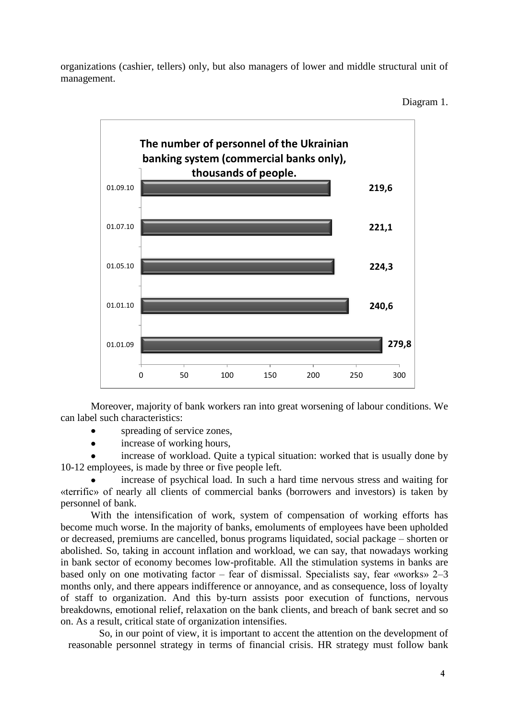organizations (cashier, tellers) only, but also managers of lower and middle structural unit of management.

Diagram 1.



Moreover, majority of bank workers ran into great worsening of labour conditions. We can label such characteristics:

- spreading of service zones,
- increase of working hours,  $\bullet$

increase of workload. Quite a typical situation: worked that is usually done by 10-12 employees, is made by three or five people left.

increase of psychical load. In such a hard time nervous stress and waiting for «terrific» of nearly all clients of commercial banks (borrowers and investors) is taken by personnel of bank.

With the intensification of work, system of compensation of working efforts has become much worse. In the majority of banks, emoluments of employees have been upholded or decreased, premiums are cancelled, bonus programs liquidated, social package – shorten or abolished. So, taking in account inflation and workload, we can say, that nowadays working in bank sector of economy becomes low-profitable. All the stimulation systems in banks are based only on one motivating factor – fear of dismissal. Specialists say, fear «works» 2–3 months only, and there appears indifference or annoyance, and as consequence, loss of loyalty of staff to organization. And this by-turn assists poor execution of functions, nervous breakdowns, emotional relief, relaxation on the bank clients, and breach of bank secret and so on. As a result, critical state of organization intensifies.

So, in our point of view, it is important to accent the attention on the development of reasonable personnel strategy in terms of financial crisis. HR strategy must follow bank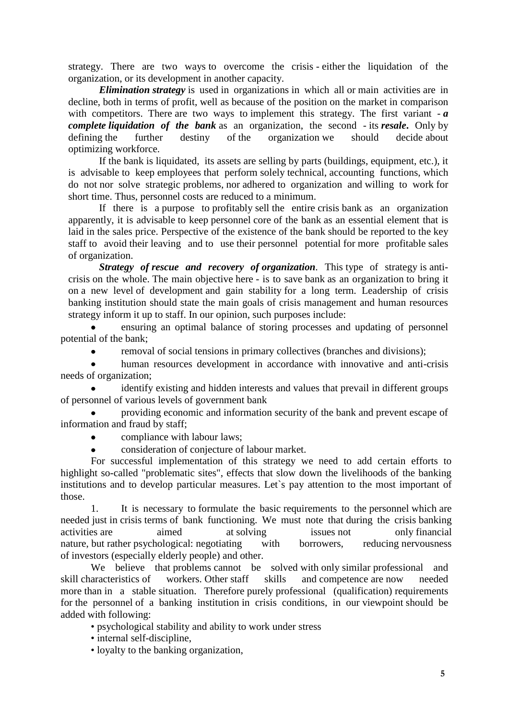strategy. There are two ways to overcome the crisis - either the liquidation of the organization, or its development in another capacity.

*Elimination strategy* is used in organizations in which all or main activities are in decline, both in terms of profit, well as because of the position on the market in comparison with competitors. There are two ways to implement this strategy. The first variant - *a complete liquidation of the bank* as an organization, the second - its *resale***.** Only by defining the further destiny of the organization we should decide about optimizing workforce.

If the bank is liquidated, its assets are selling by parts (buildings, equipment, etc.), it is advisable to keep employees that perform solely technical, accounting functions, which do not nor solve strategic problems, nor adhered to organization and willing to work for short time. Thus, personnel costs are reduced to a minimum.

If there is a purpose to profitably sell the entire crisis bank as an organization apparently, it is advisable to keep personnel core of the bank as an essential element that is laid in the sales price. Perspective of the existence of the bank should be reported to the key staff to avoid their leaving and to use their personnel potential for more profitable sales of organization.

*Strategy of rescue and recovery of organization.* This type of strategy is anticrisis on the whole. The main objective here - is to save bank as an organization to bring it on a new level of development and gain stability for a long term. Leadership of crisis banking institution should state the main goals of crisis management and human resources strategy inform it up to staff. In our opinion, such purposes include:

ensuring an optimal balance of storing processes and updating of personnel potential of the bank;

removal of social tensions in primary collectives (branches and divisions);

human resources development in accordance with innovative and anti-crisis needs of organization;

identify existing and hidden interests and values that prevail in different groups of personnel of various levels of government bank

providing economic and information security of the bank and prevent escape of information and fraud by staff;

compliance with labour laws;  $\bullet$ 

consideration of conjecture of labour market.

For successful implementation of this strategy we need to add certain efforts to highlight so-called "problematic sites", effects that slow down the livelihoods of the banking institutions and to develop particular measures. Let`s pay attention to the most important of those.

1. It is necessary to formulate the basic requirements to the personnel which are needed just in crisis terms of bank functioning. We must note that during the crisis banking activities are aimed at solving issues not only financial nature, but rather psychological: negotiating with borrowers, reducing nervousness of investors (especially elderly people) and other.

We believe that problems cannot be solved with only similar professional and skill characteristics of workers. Other staff skills and competence are now needed more than in a stable situation. Therefore purely professional (qualification) requirements for the personnel of a banking institution in crisis conditions, in our viewpoint should be added with following:

• psychological stability and ability to work under stress

• internal self-discipline,

• loyalty to the banking organization,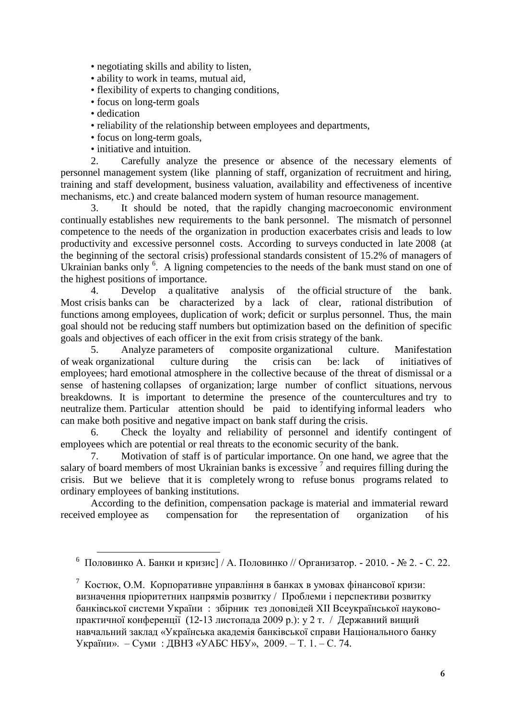• negotiating skills and ability to listen,

• ability to work in teams, mutual aid,

• flexibility of experts to changing conditions,

- focus on long-term goals
- dedication

 $\overline{a}$ 

- reliability of the relationship between employees and departments,
- focus on long-term goals,
- initiative and intuition.

2. Carefully analyze the presence or absence of the necessary elements of personnel management system (like planning of staff, organization of recruitment and hiring, training and staff development, business valuation, availability and effectiveness of incentive mechanisms, etc.) and create balanced modern system of human resource management.

3. It should be noted, that the rapidly changing macroeconomic environment continually establishes new requirements to the bank personnel. The mismatch of personnel competence to the needs of the organization in production exacerbates crisis and leads to low productivity and excessive personnel costs. According to surveys conducted in late 2008 (at the beginning of the sectoral crisis) professional standards consistent of 15.2% of managers of Ukrainian banks only <sup>6</sup>. A ligning competencies to the needs of the bank must stand on one of the highest positions of importance.

4. Develop a qualitative analysis of the official structure of the bank. Most crisis banks can be characterized by a lack of clear, rational distribution of functions among employees, duplication of work; deficit or surplus personnel. Thus, the main goal should not be reducing staff numbers but optimization based on the definition of specific goals and objectives of each officer in the exit from crisis strategy of the bank.

5. Analyze parameters of composite organizational culture. Manifestation of weak organizational culture during the crisis can be: lack of initiatives of employees; hard emotional atmosphere in the collective because of the threat of dismissal or a sense of hastening collapses of organization; large number of conflict situations, nervous breakdowns. It is important to determine the presence of the countercultures and try to neutralize them. Particular attention should be paid to identifying informal leaders who can make both positive and negative impact on bank staff during the crisis.

6. Check the loyalty and reliability of personnel and identify contingent of employees which are potential or real threats to the economic security of the bank.

7. Motivation of staff is of particular importance. On one hand, we agree that the salary of board members of most Ukrainian banks is excessive  $\frac{7}{1}$  and requires filling during the crisis. But we believe that it is completely wrong to refuse bonus programs related to ordinary employees of banking institutions.

According to the definition, compensation package is material and immaterial reward received employee as compensation for the representation of organization of his

<sup>&</sup>lt;sup>6</sup> Половинко А. Банки и кризис] / А. Половинко // Организатор. - 2010. - № 2. - С. 22.

<sup>&</sup>lt;sup>7</sup> Костюк, О.М. Корпоративне управління в банках в умовах фінансової кризи: визначення пріоритетних напрямів розвитку / Проблеми і перспективи розвитку банківської системи України : збірник тез доповідей ХІІ Всеукраїнської науковопрактичної конференції (12-13 листопада 2009 р.): у 2 т. / Державний вищий навчальний заклад «Українська академія банківської справи Національного банку України». – Суми : ДВНЗ «УАБС НБУ», 2009. – Т. 1. – С. 74.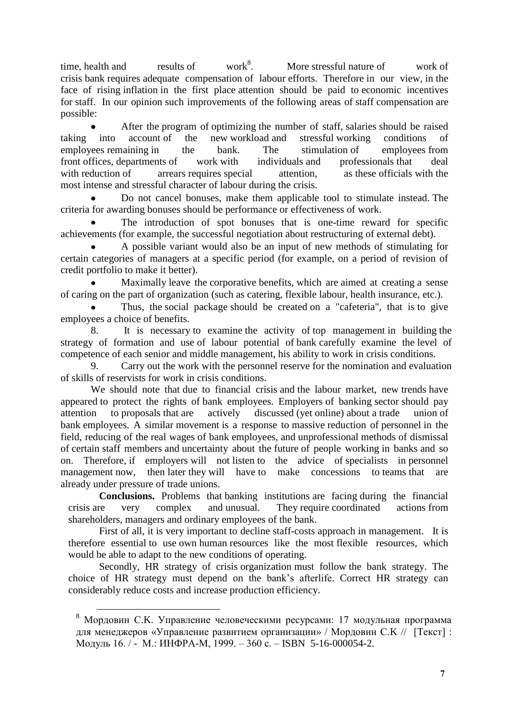time, health and results of work<sup>8</sup>. . More stressful nature of work of crisis bank requires adequate compensation of labour efforts. Therefore in our view, in the face of rising inflation in the first place attention should be paid to economic incentives for staff. In our opinion such improvements of the following areas of staff compensation are possible:

After the program of optimizing the number of staff, salaries should be raised taking into account of the new workload and stressful working conditions of employees remaining in the bank. The stimulation of employees from front offices, departments of work with individuals and professionals that deal with reduction of arrears requires special attention, as these officials with the most intense and stressful character of labour during the crisis.

Do not cancel bonuses, make them applicable tool to stimulate instead. The criteria for awarding bonuses should be performance or effectiveness of work.

The introduction of spot bonuses that is one-time reward for specific achievements (for example, the successful negotiation about restructuring of external debt).

A possible variant would also be an input of new methods of stimulating for certain categories of managers at a specific period (for example, on a period of revision of credit portfolio to make it better).

Maximally leave the corporative benefits, which are aimed at creating a sense of caring on the part of organization (such as catering, flexible labour, health insurance, etc.).

Thus, the social package should be created on a "cafeteria", that is to give employees a choice of benefits.

8. It is necessary to examine the activity of top management in building the strategy of formation and use of labour potential of bank carefully examine the level of competence of each senior and middle management, his ability to work in crisis conditions.

9. Carry out the work with the personnel reserve for the nomination and evaluation of skills of reservists for work in crisis conditions.

We should note that due to financial crisis and the labour market, new trends have appeared to protect the rights of bank employees. Employers of banking sector should pay attention to proposals that are actively discussed (yet online) about a trade union of bank employees. A similar movement is a response to massive reduction of personnel in the field, reducing of the real wages of bank employees, and unprofessional methods of dismissal of certain staff members and uncertainty about the future of people working in banks and so on. Therefore, if employers will not listen to the advice of specialists in personnel management now, then later they will have to make concessions to teams that are already under pressure of trade unions.

**Conclusions.** Problems that banking institutions are facing during the financial crisis are very complex and unusual. They require coordinated actions from shareholders, managers and ordinary employees of the bank.

First of all, it is very important to decline staff-costs approach in management. It is therefore essential to use own human resources like the most flexible resources, which would be able to adapt to the new conditions of operating.

Secondly, HR strategy of crisis organization must follow the bank strategy. The choice of HR strategy must depend on the bank's afterlife. Correct HR strategy can considerably reduce costs and increase production efficiency.

 $\overline{a}$ 

 $8$  Мордовин С.К. Управление человеческими ресурсами: 17 модульная программа для менеджеров «Управление развитием организации» / Мордовин С.K // [Текст] : Модуль 16. / - М.: ИНФРА-М, 1999. – 360 с. – ISBN 5-16-000054-2.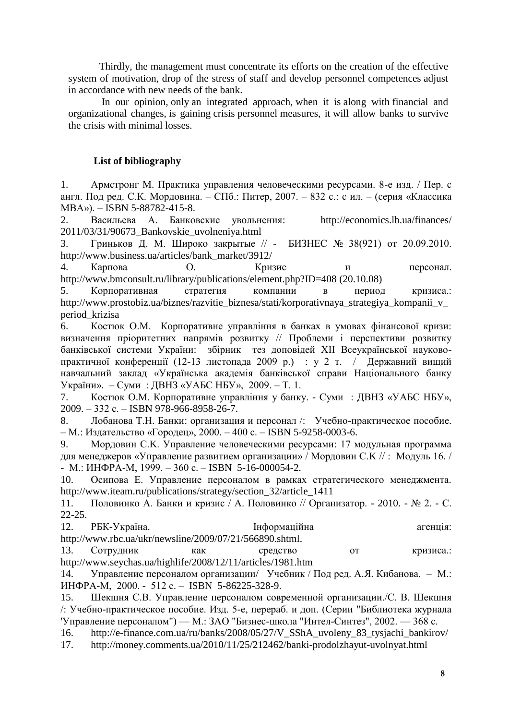Thirdly, the management must concentrate its efforts on the creation of the effective system of motivation, drop of the stress of staff and develop personnel [competence](http://lingvo.yandex.ru/competence/%D1%81%20%D0%B0%D0%BD%D0%B3%D0%BB%D0%B8%D0%B9%D1%81%D0%BA%D0%BE%D0%B3%D0%BE/LingvoUniversal/)s [adjust](http://lingvo.yandex.ru/adjust%20in%20accordance%20with/%D1%81%20%D0%B0%D0%BD%D0%B3%D0%BB%D0%B8%D0%B9%D1%81%D0%BA%D0%BE%D0%B3%D0%BE/LingvoEconomics/)  [in accordance with](http://lingvo.yandex.ru/adjust%20in%20accordance%20with/%D1%81%20%D0%B0%D0%BD%D0%B3%D0%BB%D0%B8%D0%B9%D1%81%D0%BA%D0%BE%D0%B3%D0%BE/LingvoEconomics/) new needs of the bank.

In our opinion, only an integrated approach, when it is along with financial and organizational changes, is gaining crisis personnel measures, it will allow banks to survive the crisis with minimal losses.

### **List of bibliography**

1. Армстронг М. Практика управления человеческими ресурсами. 8-е изд. / Пер. с англ. Под ред. С.К. Мордовина. – СПб.: Питер, 2007. – 832 с.: с ил. – (серия «Классика МВА»). – ISBN 5-88782-415-8.

2. Васильева А. Банковские увольнения: <http://economics.lb.ua/finances/> 2011/03/31/90673\_Bankovskie\_uvolneniya.html

3. [Гриньков Д. М.](http://www.business.ua/editorial/48/805/) Широко закрытые  $\pi$  - [БИЗНЕС № 38\(921\)](http://www.business.ua/archive/3900/) от 20.09.2010. http://www.business.ua/articles/bank\_market/3912/

4. Карпова О*.* Кризис и персонал. <http://www.bmconsult.ru/library/publications/element.php?ID=408> (20.10.08)

5. Корпоративная стратегия компании в период кризиса.: http://www.prostobiz.ua/biznes/razvitie\_biznesa/stati/korporativnaya\_strategiya\_kompanii\_v\_ period\_krizisa

6. Костюк О.М. Корпоративне управління в банках в умовах фінансової кризи: визначення пріоритетних напрямів розвитку // Проблеми і перспективи розвитку банківської системи України: збірник тез доповідей ХІІ Всеукраїнської науковопрактичної конференції (12-13 листопада 2009 р.) : у 2 т. / Державний вищий навчальний заклад «Українська академія банківської справи Національного банку України». – Суми : ДВНЗ «УАБС НБУ», 2009. – Т. 1.

7. Костюк О.М. Корпоративне управління у банку. - Суми : ДВНЗ «УАБС НБУ», 2009. – 332 с. – ISBN 978-966-8958-26-7.

8. Лобанова Т.Н. Банки: организация и персонал /: Учебно-практическое пособие. – М.: Издательство «Городец», 2000. – 400 с. – ISBN 5-9258-0003-6.

9. Мордовин С.K. Управление человеческими ресурсами: 17 модульная программа для менеджеров «Управление развитием организации» / Мордовин С.K // : Модуль 16. / - М.: ИНФРА-М, 1999. –  $360$  c. – ISBN 5-16-000054-2.

10. Осипова Е. Управление персоналом в рамках стратегического менеджмента. http://www.iteam.ru/publications/strategy/section\_32/article\_1411

11. Половинко А. Банки и кризис / А. Половинко // Организатор. - 2010. - № 2. - С. 22-25.

| http://www.rbc.ua/ukr/newsline/2009/07/21/566890.shtml. | 12. | РБК-Україна. | Інформаційна | агенція: |
|---------------------------------------------------------|-----|--------------|--------------|----------|
|                                                         |     |              |              |          |

13. Сотрудник как средство от кризиса.: http://www.seychas.ua/highlife/2008/12/11/articles/1981.htm

14. Управление персоналом организации/ Учебник / Под ред. А.Я. Кибанова. – М.: ИНФРА-М, 2000. - 512 с. – ISBN 5-86225-328-9.

15. Шекшня С.В. Управление персоналом современной организации./С. В. Шекшня /: Учебно-практическое пособие. Изд. 5-е, перераб. и доп. (Серии "Библиотека журнала 'Управление персоналом") — М.: ЗАО "Бизнес-школа "Интел-Синтез", 2002. — 368 с.

16. http://e-finance.com.ua/ru/banks/2008/05/27/V\_SShA\_uvoleny\_83\_tysjachi\_bankirov/

17. <http://money.comments.ua/2010/11/25/212462/banki-prodolzhayut-uvolnyat.html>